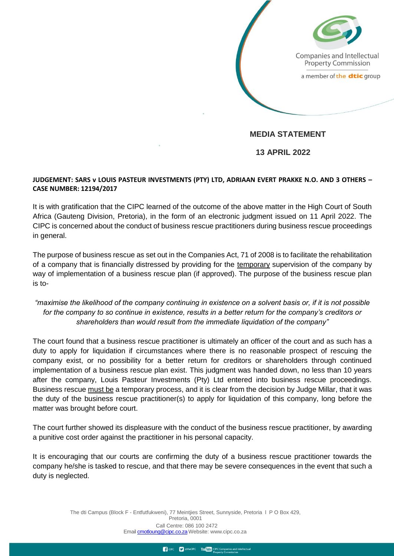Companies and Intellectual **Property Commission** 

a member of the dtic group

## **MEDIA STATEMENT**

 **13 APRIL 2022**

## **JUDGEMENT: SARS v LOUIS PASTEUR INVESTMENTS (PTY) LTD, ADRIAAN EVERT PRAKKE N.O. AND 3 OTHERS – CASE NUMBER: 12194/2017**

It is with gratification that the CIPC learned of the outcome of the above matter in the High Court of South Africa (Gauteng Division, Pretoria), in the form of an electronic judgment issued on 11 April 2022. The CIPC is concerned about the conduct of business rescue practitioners during business rescue proceedings in general.

The purpose of business rescue as set out in the Companies Act, 71 of 2008 is to facilitate the rehabilitation of a company that is financially distressed by providing for the temporary supervision of the company by way of implementation of a business rescue plan (if approved). The purpose of the business rescue plan is to-

## *"maximise the likelihood of the company continuing in existence on a solvent basis or, if it is not possible for the company to so continue in existence, results in a better return for the company's creditors or shareholders than would result from the immediate liquidation of the company"*

The court found that a business rescue practitioner is ultimately an officer of the court and as such has a duty to apply for liquidation if circumstances where there is no reasonable prospect of rescuing the company exist, or no possibility for a better return for creditors or shareholders through continued implementation of a business rescue plan exist. This judgment was handed down, no less than 10 years after the company, Louis Pasteur Investments (Pty) Ltd entered into business rescue proceedings. Business rescue must be a temporary process, and it is clear from the decision by Judge Millar, that it was the duty of the business rescue practitioner(s) to apply for liquidation of this company, long before the matter was brought before court.

The court further showed its displeasure with the conduct of the business rescue practitioner, by awarding a punitive cost order against the practitioner in his personal capacity.

It is encouraging that our courts are confirming the duty of a business rescue practitioner towards the company he/she is tasked to rescue, and that there may be severe consequences in the event that such a duty is neglected.

> The dti Campus (Block F - Entfutfukweni), 77 Meintjies Street, Sunnyside, Pretoria l P O Box 429, Pretoria, 0001 Call Centre: 086 100 2472 Email [cmotloung@cipc.c](http://cmotloung@cipc)o.za Webs[ite: www.cipc.co.za](http://www.cipc.co.za/)